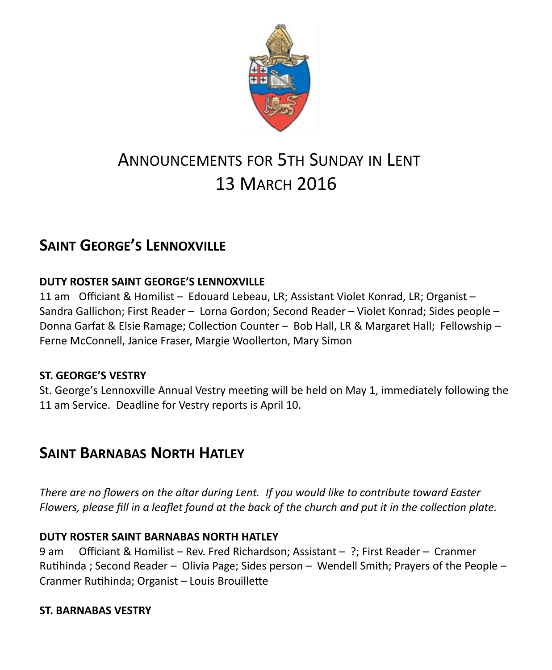

# ANNOUNCEMENTS FOR 5TH SUNDAY IN LENT 13 MARCH 2016

## **SAINT GEORGE'S LENNOXVILLE**

## **DUTY ROSTER SAINT GEORGE'S LENNOXVILLE**

11 am Officiant & Homilist – Edouard Lebeau, LR; Assistant Violet Konrad, LR; Organist – Sandra Gallichon; First Reader – Lorna Gordon; Second Reader – Violet Konrad; Sides people – Donna Garfat & Elsie Ramage; Collection Counter – Bob Hall, LR & Margaret Hall; Fellowship – Ferne McConnell, Janice Fraser, Margie Woollerton, Mary Simon

### **ST. GEORGE'S VESTRY**

St. George's Lennoxville Annual Vestry meeting will be held on May 1, immediately following the 11 am Service.Deadline for Vestry reports is April 10.

## **SAINT BARNABAS NORTH HATLEY**

*There are no flowers on the altar during Lent. If you would like to contribute toward Easter Flowers, please fill in a leaflet found at the back of the church and put it in the collection plate.*

### **DUTY ROSTER SAINT BARNABAS NORTH HATLEY**

9 am Officiant & Homilist – Rev. Fred Richardson; Assistant – ?; First Reader – Cranmer Rutihinda ; Second Reader – Olivia Page; Sides person – Wendell Smith; Prayers of the People – Cranmer Rutihinda; Organist – Louis Brouillette

### **ST. BARNABAS VESTRY**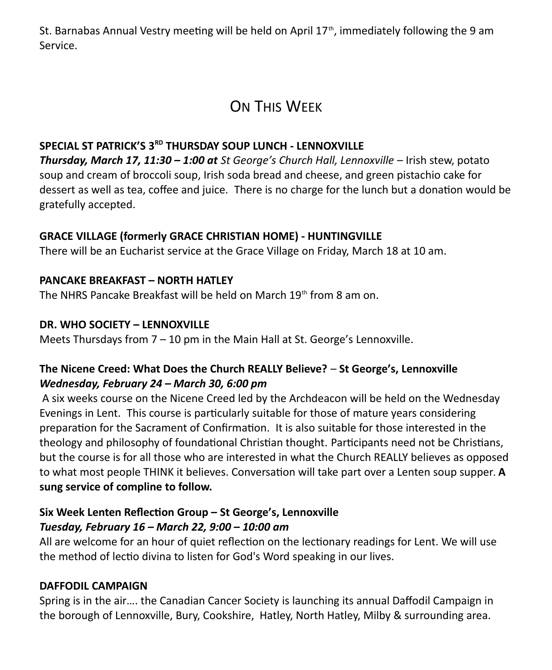St. Barnabas Annual Vestry meeting will be held on April  $17<sup>th</sup>$ , immediately following the 9 am Service.

## ON THIS WFFK

### **SPECIAL ST PATRICK'S 3RD THURSDAY SOUP LUNCH - LENNOXVILLE**

*Thursday, March 17, 11:30 – 1:00 at St George's Church Hall, Lennoxville* – Irish stew, potato soup and cream of broccoli soup, Irish soda bread and cheese, and green pistachio cake for dessert as well as tea, coffee and juice. There is no charge for the lunch but a donation would be gratefully accepted.

#### **GRACE VILLAGE (formerly GRACE CHRISTIAN HOME) - HUNTINGVILLE**

There will be an Eucharist service at the Grace Village on Friday, March 18 at 10 am.

### **PANCAKE BREAKFAST – NORTH HATLEY**

The NHRS Pancake Breakfast will be held on March 19<sup>th</sup> from 8 am on.

#### **DR. WHO SOCIETY – LENNOXVILLE**

Meets Thursdays from 7 – 10 pm in the Main Hall at St. George's Lennoxville.

### **The Nicene Creed: What Does the Church REALLY Believe?** – **St George's, Lennoxville** *Wednesday, February 24 – March 30, 6:00 pm*

A six weeks course on the Nicene Creed led by the Archdeacon will be held on the Wednesday Evenings in Lent. This course is particularly suitable for those of mature years considering preparation for the Sacrament of Confirmation. It is also suitable for those interested in the theology and philosophy of foundational Christian thought. Participants need not be Christians, but the course is for all those who are interested in what the Church REALLY believes as opposed to what most people THINK it believes. Conversation will take part over a Lenten soup supper. **A sung service of compline to follow.**

## **Six Week Lenten Reflection Group – St George's, Lennoxville**  *Tuesday, February 16 – March 22, 9:00 – 10:00 am*

All are welcome for an hour of quiet reflection on the lectionary readings for Lent. We will use the method of lectio divina to listen for God's Word speaking in our lives.

#### **DAFFODIL CAMPAIGN**

Spring is in the air…. the Canadian Cancer Society is launching its annual Daffodil Campaign in the borough of Lennoxville, Bury, Cookshire, Hatley, North Hatley, Milby & surrounding area.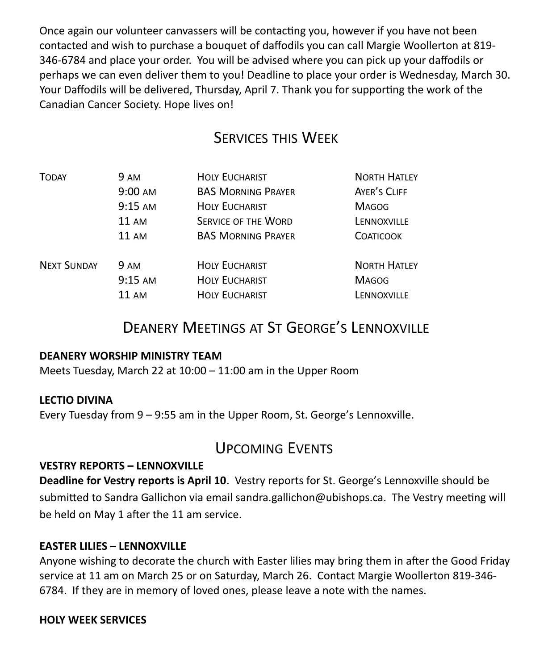Once again our volunteer canvassers will be contacting you, however if you have not been contacted and wish to purchase a bouquet of daffodils you can call Margie Woollerton at 819- 346-6784 and place your order. You will be advised where you can pick up your daffodils or perhaps we can even deliver them to you! Deadline to place your order is Wednesday, March 30. Your Daffodils will be delivered, Thursday, April 7. Thank you for supporting the work of the Canadian Cancer Society. Hope lives on!

## SERVICES THIS WEEK

| <b>TODAY</b>       | <b>9 AM</b> | <b>HOLY EUCHARIST</b>      | <b>NORTH HATLEY</b> |
|--------------------|-------------|----------------------------|---------------------|
|                    | 9:00 AM     | <b>BAS MORNING PRAYER</b>  | AYER'S CLIFF        |
|                    | $9:15$ AM   | <b>HOLY EUCHARIST</b>      | <b>MAGOG</b>        |
|                    | 11 AM       | <b>SERVICE OF THE WORD</b> | LENNOXVILLE         |
|                    | 11 AM       | <b>BAS MORNING PRAYER</b>  | <b>COATICOOK</b>    |
| <b>NEXT SUNDAY</b> | <b>9 AM</b> | <b>HOLY EUCHARIST</b>      | <b>NORTH HATLEY</b> |
|                    | $9:15$ AM   | <b>HOLY EUCHARIST</b>      | <b>MAGOG</b>        |
|                    | 11 AM       | <b>HOLY EUCHARIST</b>      | LENNOXVILLE         |

## DEANERY MEETINGS AT ST GEORGE'S LENNOXVILLE

#### **DEANERY WORSHIP MINISTRY TEAM**

Meets Tuesday, March 22 at 10:00 – 11:00 am in the Upper Room

#### **LECTIO DIVINA**

Every Tuesday from 9 – 9:55 am in the Upper Room, St. George's Lennoxville.

## UPCOMING EVENTS

#### **VESTRY REPORTS – LENNOXVILLE**

**Deadline for Vestry reports is April 10**. Vestry reports for St. George's Lennoxville should be submitted to Sandra Gallichon via email sandra.gallichon@ubishops.ca. The Vestry meeting will be held on May 1 after the 11 am service.

#### **EASTER LILIES – LENNOXVILLE**

Anyone wishing to decorate the church with Easter lilies may bring them in after the Good Friday service at 11 am on March 25 or on Saturday, March 26. Contact Margie Woollerton 819-346- 6784. If they are in memory of loved ones, please leave a note with the names.

#### **HOLY WEEK SERVICES**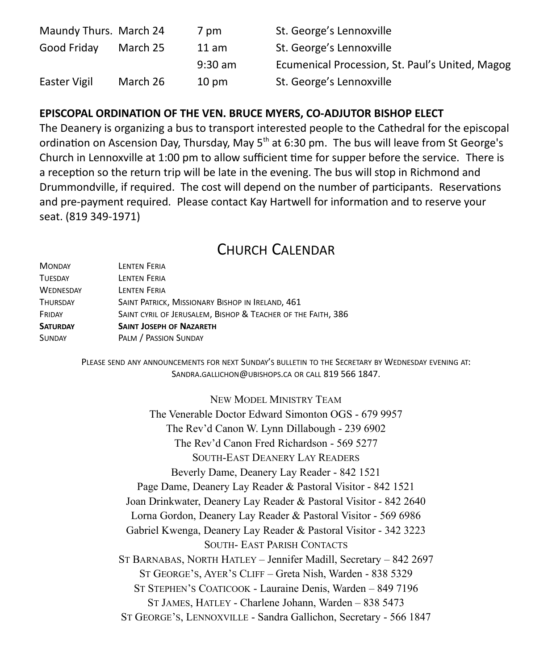| Maundy Thurs. March 24 |          | 7 pm            | St. George's Lennoxville                        |
|------------------------|----------|-----------------|-------------------------------------------------|
| Good Friday            | March 25 | 11 am           | St. George's Lennoxville                        |
|                        |          | $9:30$ am       | Ecumenical Procession, St. Paul's United, Magog |
| Easter Vigil           | March 26 | $10 \text{ pm}$ | St. George's Lennoxville                        |

#### **EPISCOPAL ORDINATION OF THE VEN. BRUCE MYERS, CO-ADJUTOR BISHOP ELECT**

The Deanery is organizing a bus to transport interested people to the Cathedral for the episcopal ordination on Ascension Day, Thursday, May  $5<sup>th</sup>$  at 6:30 pm. The bus will leave from St George's Church in Lennoxville at 1:00 pm to allow sufficient time for supper before the service. There is a reception so the return trip will be late in the evening. The bus will stop in Richmond and Drummondville, if required. The cost will depend on the number of participants. Reservations and pre-payment required. Please contact Kay Hartwell for information and to reserve your seat. (819 349-1971)

## CHURCH CALENDAR

| <b>LENTEN FERIA</b>                                          |
|--------------------------------------------------------------|
| LENTEN FERIA                                                 |
| <b>LENTEN FERIA</b>                                          |
| SAINT PATRICK, MISSIONARY BISHOP IN IRELAND, 461             |
| SAINT CYRIL OF JERUSALEM, BISHOP & TEACHER OF THE FAITH, 386 |
| <b>SAINT JOSEPH OF NAZARETH</b>                              |
| PALM / PASSION SUNDAY                                        |
|                                                              |

PLEASE SEND ANY ANNOUNCEMENTS FOR NEXT SUNDAY'S BULLETIN TO THE SECRETARY BY WEDNESDAY EVENING AT: SANDRA.GALLICHON@UBISHOPS.CA OR CALL 819 566 1847.

NEW MODEL MINISTRY TEAM

The Venerable Doctor Edward Simonton OGS - 679 9957 The Rev'd Canon W. Lynn Dillabough - 239 6902 The Rev'd Canon Fred Richardson - 569 5277 SOUTH-EAST DEANERY LAY READERS Beverly Dame, Deanery Lay Reader - 842 1521 Page Dame, Deanery Lay Reader & Pastoral Visitor - 842 1521 Joan Drinkwater, Deanery Lay Reader & Pastoral Visitor - 842 2640 Lorna Gordon, Deanery Lay Reader & Pastoral Visitor - 569 6986 Gabriel Kwenga, Deanery Lay Reader & Pastoral Visitor - 342 3223 SOUTH- EAST PARISH CONTACTS ST BARNABAS, NORTH HATLEY – Jennifer Madill, Secretary – 842 2697 ST GEORGE'S, AYER'S CLIFF – Greta Nish, Warden - 838 5329 ST STEPHEN'S COATICOOK - Lauraine Denis, Warden – 849 7196 ST JAMES, HATLEY - Charlene Johann, Warden – 838 5473 ST GEORGE'S, LENNOXVILLE - Sandra Gallichon, Secretary - 566 1847